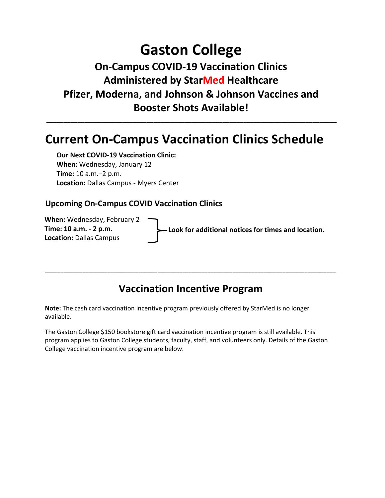## **Gaston College**

### **On-Campus COVID-19 Vaccination Clinics Administered by StarMed Healthcare Pfizer, Moderna, and Johnson & Johnson Vaccines and Booster Shots Available!**

**\_\_\_\_\_\_\_\_\_\_\_\_\_\_\_\_\_\_\_\_\_\_\_\_\_\_\_\_\_\_\_\_\_\_\_\_\_\_\_\_\_\_\_\_\_\_\_\_\_\_\_\_\_\_\_\_\_\_\_\_\_\_\_\_\_\_\_\_\_\_\_\_\_\_\_\_\_\_\_\_\_\_\_\_** 

## **Current On-Campus Vaccination Clinics Schedule**

**Our Next COVID-19 Vaccination Clinic: When:** Wednesday, January 12 **Time:** 10 a.m.–2 p.m. **Location:** Dallas Campus - Myers Center

#### **Upcoming On-Campus COVID Vaccination Clinics**

**When:** Wednesday, February 2 **Time: 10 a.m. - 2 p.m. Location:** Dallas Campus

**Look for additional notices for times and location.**

### **Vaccination Incentive Program**

\_\_\_\_\_\_\_\_\_\_\_\_\_\_\_\_\_\_\_\_\_\_\_\_\_\_\_\_\_\_\_\_\_\_\_\_\_\_\_\_\_\_\_\_\_\_\_\_\_\_\_\_\_\_\_\_\_\_\_\_\_\_\_\_\_\_\_\_\_\_\_\_\_\_\_\_\_\_\_\_\_\_\_\_\_\_\_\_\_\_\_\_\_

**Note:** The cash card vaccination incentive program previously offered by StarMed is no longer available.

The Gaston College \$150 bookstore gift card vaccination incentive program is still available. This program applies to Gaston College students, faculty, staff, and volunteers only. Details of the Gaston College vaccination incentive program are below.